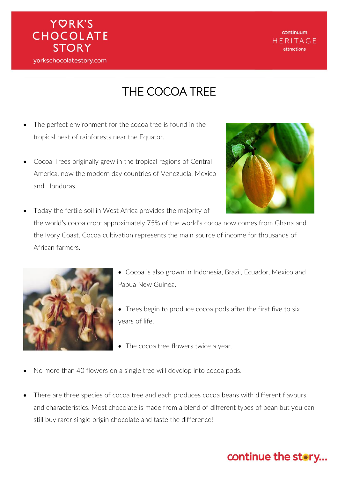

continuum HERITAGE attractions

### THE COCOA TREE

- The perfect environment for the cocoa tree is found in the tropical heat of rainforests near the Equator.
- Cocoa Trees originally grew in the tropical regions of Central America, now the modern day countries of Venezuela, Mexico and Honduras.



 Today the fertile soil in West Africa provides the majority of the world's cocoa crop: approximately 75% of the world's cocoa now comes from Ghana and the Ivory Coast. Cocoa cultivation represents the main source of income for thousands of African farmers.



- Cocoa is also grown in Indonesia, Brazil, Ecuador, Mexico and Papua New Guinea.
- Trees begin to produce cocoa pods after the first five to six years of life.
- The cocoa tree flowers twice a year.
- No more than 40 flowers on a single tree will develop into cocoa pods.
- There are three species of cocoa tree and each produces cocoa beans with different flavours and characteristics. Most chocolate is made from a blend of different types of bean but you can still buy rarer single origin chocolate and taste the difference!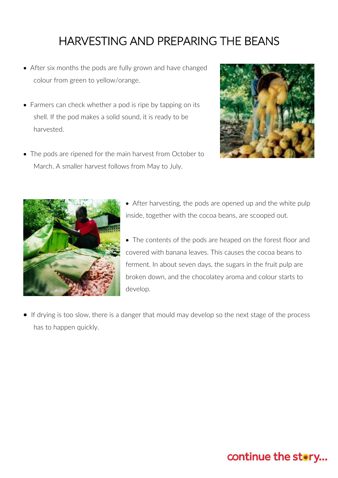### HARVESTING AND PREPARING THE BEANS

- After six months the pods are fully grown and have changed colour from green to yellow/orange.
- Farmers can check whether a pod is ripe by tapping on its shell. If the pod makes a solid sound, it is ready to be harvested.
- The pods are ripened for the main harvest from October to March. A smaller harvest follows from May to July.





- After harvesting, the pods are opened up and the white pulp inside, together with the cocoa beans, are scooped out.
- The contents of the pods are heaped on the forest floor and covered with banana leaves. This causes the cocoa beans to ferment. In about seven days, the sugars in the fruit pulp are broken down, and the chocolatey aroma and colour starts to develop.
- If drying is too slow, there is a danger that mould may develop so the next stage of the process has to happen quickly.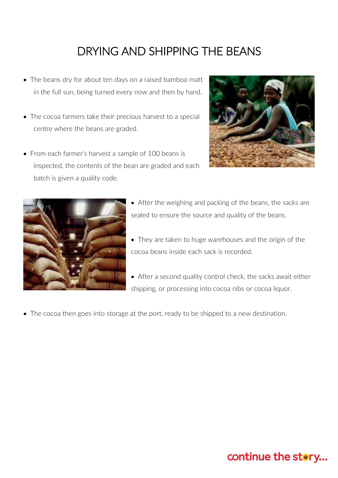# DRYING AND SHIPPING THE BEANS

- The beans dry for about ten days on a raised bamboo matt in the full sun, being turned every now and then by hand.
- The cocoa farmers take their precious harvest to a special centre where the beans are graded.
- From each farmer's harvest a sample of 100 beans is inspected, the contents of the bean are graded and each batch is given a quality code.





- After the weighing and packing of the beans, the sacks are sealed to ensure the source and quality of the beans.
- They are taken to huge warehouses and the origin of the cocoa beans inside each sack is recorded.
- After a second quality control check, the sacks await either shipping, or processing into cocoa nibs or cocoa liquor.
- The cocoa then goes into storage at the port, ready to be shipped to a new destination.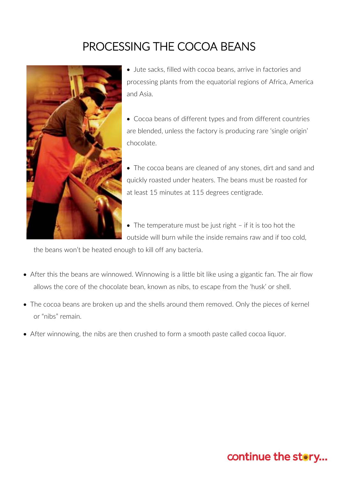## PROCESSING THE COCOA BEANS



 Jute sacks, filled with cocoa beans, arrive in factories and processing plants from the equatorial regions of Africa, America and Asia.

- Cocoa beans of different types and from different countries are blended, unless the factory is producing rare 'single origin' chocolate.
- The cocoa beans are cleaned of any stones, dirt and sand and quickly roasted under heaters. The beans must be roasted for at least 15 minutes at 115 degrees centigrade.
- The temperature must be just right if it is too hot the outside will burn while the inside remains raw and if too cold,

the beans won't be heated enough to kill off any bacteria.

- After this the beans are winnowed. Winnowing is a little bit like using a gigantic fan. The air flow allows the core of the chocolate bean, known as nibs, to escape from the 'husk' or shell.
- The cocoa beans are broken up and the shells around them removed. Only the pieces of kernel or "nibs" remain.
- After winnowing, the nibs are then crushed to form a smooth paste called cocoa liquor.